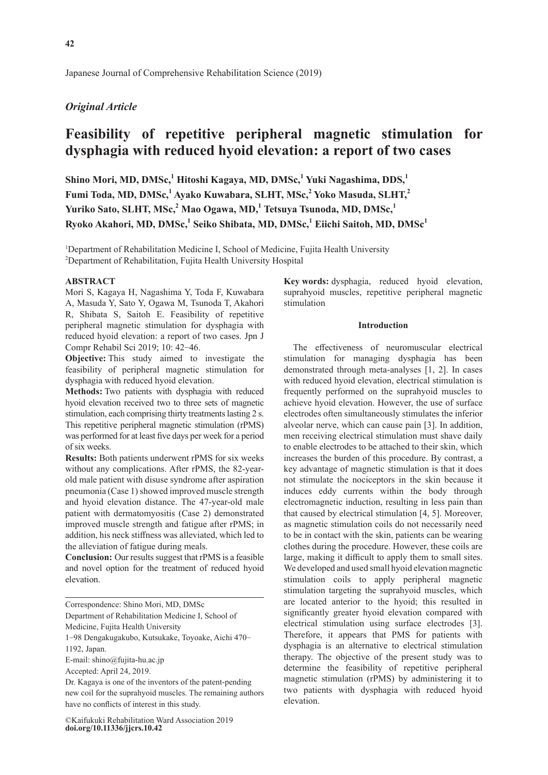Japanese Journal of Comprehensive Rehabilitation Science (2019)

# *Original Article*

# **Feasibility of repetitive peripheral magnetic stimulation for dysphagia with reduced hyoid elevation: a report of two cases**

 $\boldsymbol{\mathrm{Shino\; Mori, MD, DMSc,^1}}$  Hitoshi Kagaya, MD, DMSc,<sup>1</sup> Yuki Nagashima, DDS,<sup>1</sup> Fumi Toda, MD, DMSc,<sup>1</sup> Ayako Kuwabara, SLHT, MSc,<sup>2</sup> Yoko Masuda, SLHT,<sup>2</sup> **Yuriko Sato, SLHT, MSc,<sup>2</sup> Mao Ogawa, MD,1 Tetsuya Tsunoda, MD, DMSc,<sup>1</sup> Ryoko Akahori, MD, DMSc,<sup>1</sup> Seiko Shibata, MD, DMSc,<sup>1</sup> Eiichi Saitoh, MD, DMSc1**

<sup>1</sup>Department of Rehabilitation Medicine I, School of Medicine, Fujita Health University 2 Department of Rehabilitation, Fujita Health University Hospital

#### **ABSTRACT**

Mori S, Kagaya H, Nagashima Y, Toda F, Kuwabara A, Masuda Y, Sato Y, Ogawa M, Tsunoda T, Akahori R, Shibata S, Saitoh E. Feasibility of repetitive peripheral magnetic stimulation for dysphagia with reduced hyoid elevation: a report of two cases. Jpn J Compr Rehabil Sci 2019; 10: 42-46.

**Objective:** This study aimed to investigate the feasibility of peripheral magnetic stimulation for dysphagia with reduced hyoid elevation.

**Methods:** Two patients with dysphagia with reduced hyoid elevation received two to three sets of magnetic stimulation, each comprising thirty treatments lasting 2 s. This repetitive peripheral magnetic stimulation (rPMS) was performed for at least five days per week for a period of six weeks.

**Results:** Both patients underwent rPMS for six weeks without any complications. After rPMS, the 82-yearold male patient with disuse syndrome after aspiration pneumonia (Case 1) showed improved muscle strength and hyoid elevation distance. The 47-year-old male patient with dermatomyositis (Case 2) demonstrated improved muscle strength and fatigue after rPMS; in addition, his neck stiffness was alleviated, which led to the alleviation of fatigue during meals.

**Conclusion:** Our results suggest that rPMS is a feasible and novel option for the treatment of reduced hyoid elevation.

Correspondence: Shino Mori, MD, DMSc

Department of Rehabilitation Medicine I, School of

Medicine, Fujita Health University

1-98 Dengakugakubo, Kutsukake, Toyoake, Aichi 470- 1192, Japan.

E-mail: shino@fujita-hu.ac.jp

Accepted: April 24, 2019.

Dr. Kagaya is one of the inventors of the patent-pending new coil for the suprahyoid muscles. The remaining authors have no conflicts of interest in this study.

**doi.org/10.11336/jjcrs.10.42** ©Kaifukuki Rehabilitation Ward Association 2019 **Key words:** dysphagia, reduced hyoid elevation, suprahyoid muscles, repetitive peripheral magnetic stimulation

### **Introduction**

The effectiveness of neuromuscular electrical stimulation for managing dysphagia has been demonstrated through meta-analyses [1, 2]. In cases with reduced hyoid elevation, electrical stimulation is frequently performed on the suprahyoid muscles to achieve hyoid elevation. However, the use of surface electrodes often simultaneously stimulates the inferior alveolar nerve, which can cause pain [3]. In addition, men receiving electrical stimulation must shave daily to enable electrodes to be attached to their skin, which increases the burden of this procedure. By contrast, a key advantage of magnetic stimulation is that it does not stimulate the nociceptors in the skin because it induces eddy currents within the body through electromagnetic induction, resulting in less pain than that caused by electrical stimulation [4, 5]. Moreover, as magnetic stimulation coils do not necessarily need to be in contact with the skin, patients can be wearing clothes during the procedure. However, these coils are large, making it difficult to apply them to small sites. We developed and used small hyoid elevation magnetic stimulation coils to apply peripheral magnetic stimulation targeting the suprahyoid muscles, which are located anterior to the hyoid; this resulted in significantly greater hyoid elevation compared with electrical stimulation using surface electrodes [3]. Therefore, it appears that PMS for patients with dysphagia is an alternative to electrical stimulation therapy. The objective of the present study was to determine the feasibility of repetitive peripheral magnetic stimulation (rPMS) by administering it to two patients with dysphagia with reduced hyoid elevation.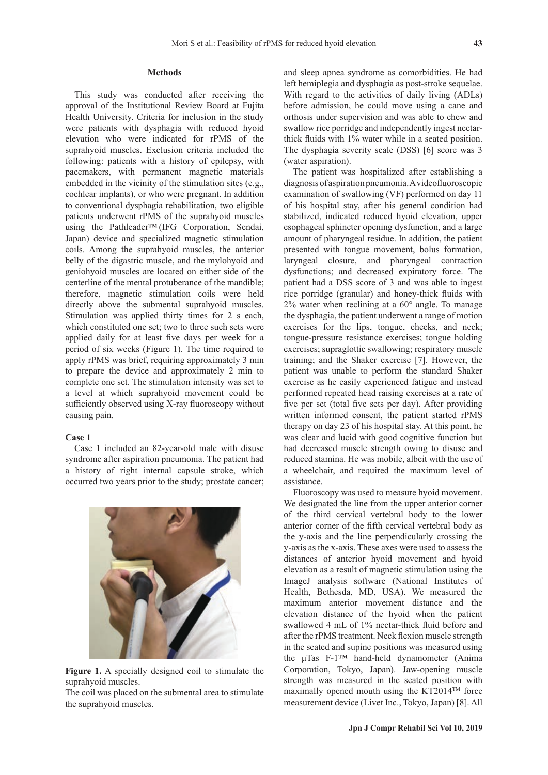### **Methods**

This study was conducted after receiving the approval of the Institutional Review Board at Fujita Health University. Criteria for inclusion in the study were patients with dysphagia with reduced hyoid elevation who were indicated for rPMS of the suprahyoid muscles. Exclusion criteria included the following: patients with a history of epilepsy, with pacemakers, with permanent magnetic materials embedded in the vicinity of the stimulation sites (e.g., cochlear implants), or who were pregnant. In addition to conventional dysphagia rehabilitation, two eligible patients underwent rPMS of the suprahyoid muscles using the Pathleader™ (IFG Corporation, Sendai, Japan) device and specialized magnetic stimulation coils. Among the suprahyoid muscles, the anterior belly of the digastric muscle, and the mylohyoid and geniohyoid muscles are located on either side of the centerline of the mental protuberance of the mandible; therefore, magnetic stimulation coils were held directly above the submental suprahyoid muscles. Stimulation was applied thirty times for 2 s each, which constituted one set; two to three such sets were applied daily for at least five days per week for a period of six weeks (Figure 1). The time required to apply rPMS was brief, requiring approximately 3 min to prepare the device and approximately 2 min to complete one set. The stimulation intensity was set to a level at which suprahyoid movement could be sufficiently observed using X-ray fluoroscopy without causing pain.

# **Case 1**

Case 1 included an 82-year-old male with disuse syndrome after aspiration pneumonia. The patient had a history of right internal capsule stroke, which occurred two years prior to the study; prostate cancer;



**Figure 1.** A specially designed coil to stimulate the suprahyoid muscles.

The coil was placed on the submental area to stimulate the suprahyoid muscles.

and sleep apnea syndrome as comorbidities. He had left hemiplegia and dysphagia as post-stroke sequelae. With regard to the activities of daily living (ADLs) before admission, he could move using a cane and orthosis under supervision and was able to chew and swallow rice porridge and independently ingest nectarthick fluids with 1% water while in a seated position. The dysphagia severity scale (DSS) [6] score was 3 (water aspiration).

The patient was hospitalized after establishing a diagnosis of aspiration pneumonia. A videofluoroscopic examination of swallowing (VF) performed on day 11 of his hospital stay, after his general condition had stabilized, indicated reduced hyoid elevation, upper esophageal sphincter opening dysfunction, and a large amount of pharyngeal residue. In addition, the patient presented with tongue movement, bolus formation, laryngeal closure, and pharyngeal contraction dysfunctions; and decreased expiratory force. The patient had a DSS score of 3 and was able to ingest rice porridge (granular) and honey-thick fluids with  $2\%$  water when reclining at a  $60^\circ$  angle. To manage the dysphagia, the patient underwent a range of motion exercises for the lips, tongue, cheeks, and neck; tongue-pressure resistance exercises; tongue holding exercises; supraglottic swallowing; respiratory muscle training; and the Shaker exercise [7]. However, the patient was unable to perform the standard Shaker exercise as he easily experienced fatigue and instead performed repeated head raising exercises at a rate of five per set (total five sets per day). After providing written informed consent, the patient started rPMS therapy on day 23 of his hospital stay. At this point, he was clear and lucid with good cognitive function but had decreased muscle strength owing to disuse and reduced stamina. He was mobile, albeit with the use of a wheelchair, and required the maximum level of assistance.

Fluoroscopy was used to measure hyoid movement. We designated the line from the upper anterior corner of the third cervical vertebral body to the lower anterior corner of the fifth cervical vertebral body as the y-axis and the line perpendicularly crossing the y-axis as the x-axis. These axes were used to assess the distances of anterior hyoid movement and hyoid elevation as a result of magnetic stimulation using the ImageJ analysis software (National Institutes of Health, Bethesda, MD, USA). We measured the maximum anterior movement distance and the elevation distance of the hyoid when the patient swallowed 4 mL of 1% nectar-thick fluid before and after the rPMS treatment. Neck flexion muscle strength in the seated and supine positions was measured using the μTas F-1™ hand-held dynamometer (Anima Corporation, Tokyo, Japan). Jaw-opening muscle strength was measured in the seated position with maximally opened mouth using the KT2014<sup>TM</sup> force measurement device (Livet Inc., Tokyo, Japan) [8]. All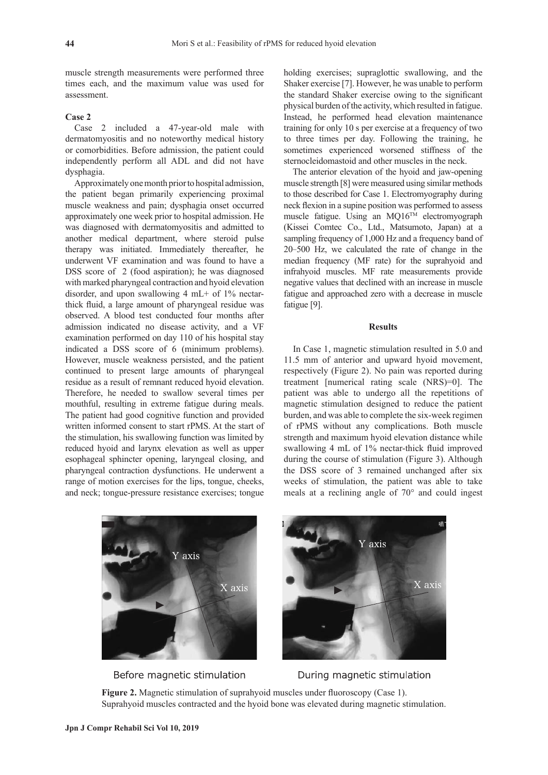muscle strength measurements were performed three times each, and the maximum value was used for assessment.

# **Case 2**

Case 2 included a 47-year-old male with dermatomyositis and no noteworthy medical history or comorbidities. Before admission, the patient could independently perform all ADL and did not have dysphagia.

Approximately one month prior to hospital admission, the patient began primarily experiencing proximal muscle weakness and pain; dysphagia onset occurred approximately one week prior to hospital admission. He was diagnosed with dermatomyositis and admitted to another medical department, where steroid pulse therapy was initiated. Immediately thereafter, he underwent VF examination and was found to have a DSS score of 2 (food aspiration); he was diagnosed with marked pharyngeal contraction and hyoid elevation disorder, and upon swallowing 4 mL+ of 1% nectarthick fluid, a large amount of pharyngeal residue was observed. A blood test conducted four months after admission indicated no disease activity, and a VF examination performed on day 110 of his hospital stay indicated a DSS score of 6 (minimum problems). However, muscle weakness persisted, and the patient continued to present large amounts of pharyngeal residue as a result of remnant reduced hyoid elevation. Therefore, he needed to swallow several times per mouthful, resulting in extreme fatigue during meals. The patient had good cognitive function and provided written informed consent to start rPMS. At the start of the stimulation, his swallowing function was limited by reduced hyoid and larynx elevation as well as upper esophageal sphincter opening, laryngeal closing, and pharyngeal contraction dysfunctions. He underwent a range of motion exercises for the lips, tongue, cheeks, and neck; tongue-pressure resistance exercises; tongue holding exercises; supraglottic swallowing, and the Shaker exercise [7]. However, he was unable to perform the standard Shaker exercise owing to the significant physical burden of the activity, which resulted in fatigue. Instead, he performed head elevation maintenance training for only 10 s per exercise at a frequency of two to three times per day. Following the training, he sometimes experienced worsened stiffness of the sternocleidomastoid and other muscles in the neck.

The anterior elevation of the hyoid and jaw-opening muscle strength [8] were measured using similar methods to those described for Case 1. Electromyography during neck flexion in a supine position was performed to assess muscle fatigue. Using an MQ16TM electromyograph (Kissei Comtec Co., Ltd., Matsumoto, Japan) at a sampling frequency of 1,000 Hz and a frequency band of 20-500 Hz, we calculated the rate of change in the median frequency (MF rate) for the suprahyoid and infrahyoid muscles. MF rate measurements provide negative values that declined with an increase in muscle fatigue and approached zero with a decrease in muscle fatigue [9].

# **Results**

In Case 1, magnetic stimulation resulted in 5.0 and 11.5 mm of anterior and upward hyoid movement, respectively (Figure 2). No pain was reported during treatment [numerical rating scale (NRS)=0]. The patient was able to undergo all the repetitions of magnetic stimulation designed to reduce the patient burden, and was able to complete the six-week regimen of rPMS without any complications. Both muscle strength and maximum hyoid elevation distance while swallowing 4 mL of 1% nectar-thick fluid improved during the course of stimulation (Figure 3). Although the DSS score of 3 remained unchanged after six weeks of stimulation, the patient was able to take meals at a reclining angle of 70° and could ingest



Before magnetic stimulation



During magnetic stimulation

**Figure 2.** Magnetic stimulation of suprahyoid muscles under fluoroscopy (Case 1). Suprahyoid muscles contracted and the hyoid bone was elevated during magnetic stimulation.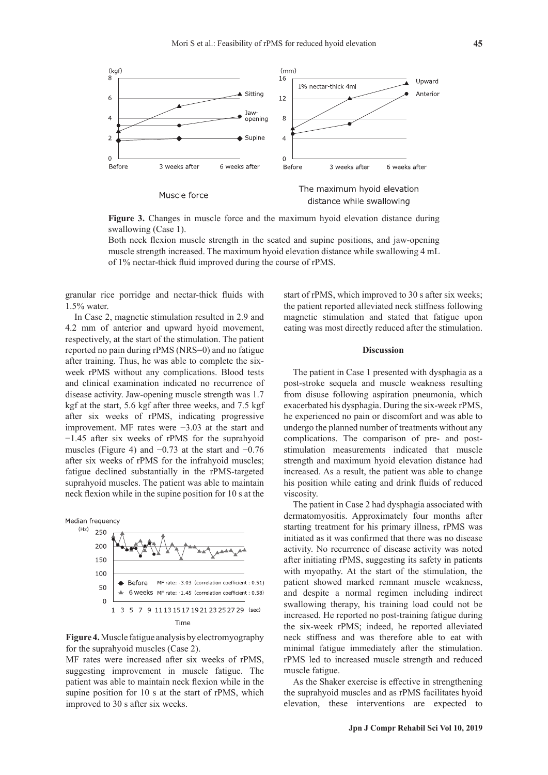

**Figure 3.** Changes in muscle force and the maximum hyoid elevation distance during swallowing (Case 1).

Both neck flexion muscle strength in the seated and supine positions, and jaw-opening muscle strength increased. The maximum hyoid elevation distance while swallowing 4 mL of 1% nectar-thick fluid improved during the course of rPMS.

granular rice porridge and nectar-thick fluids with 1.5% water.

In Case 2, magnetic stimulation resulted in 2.9 and 4.2 mm of anterior and upward hyoid movement, respectively, at the start of the stimulation. The patient reported no pain during rPMS (NRS=0) and no fatigue after training. Thus, he was able to complete the sixweek rPMS without any complications. Blood tests and clinical examination indicated no recurrence of disease activity. Jaw-opening muscle strength was 1.7 kgf at the start, 5.6 kgf after three weeks, and 7.5 kgf after six weeks of rPMS, indicating progressive improvement. MF rates were −3.03 at the start and −1.45 after six weeks of rPMS for the suprahyoid muscles (Figure 4) and  $-0.73$  at the start and  $-0.76$ after six weeks of rPMS for the infrahyoid muscles; fatigue declined substantially in the rPMS-targeted suprahyoid muscles. The patient was able to maintain neck flexion while in the supine position for 10 s at the



**Figure 4.** Muscle fatigue analysis by electromyography for the suprahyoid muscles (Case 2).

MF rates were increased after six weeks of rPMS, suggesting improvement in muscle fatigue. The patient was able to maintain neck flexion while in the supine position for 10 s at the start of rPMS, which improved to 30 s after six weeks.

start of rPMS, which improved to 30 s after six weeks; the patient reported alleviated neck stiffness following magnetic stimulation and stated that fatigue upon eating was most directly reduced after the stimulation.

#### **Discussion**

The patient in Case 1 presented with dysphagia as a post-stroke sequela and muscle weakness resulting from disuse following aspiration pneumonia, which exacerbated his dysphagia. During the six-week rPMS, he experienced no pain or discomfort and was able to undergo the planned number of treatments without any complications. The comparison of pre- and poststimulation measurements indicated that muscle strength and maximum hyoid elevation distance had increased. As a result, the patient was able to change his position while eating and drink fluids of reduced viscosity.

The patient in Case 2 had dysphagia associated with dermatomyositis. Approximately four months after starting treatment for his primary illness, rPMS was initiated as it was confirmed that there was no disease activity. No recurrence of disease activity was noted after initiating rPMS, suggesting its safety in patients with myopathy. At the start of the stimulation, the patient showed marked remnant muscle weakness, and despite a normal regimen including indirect swallowing therapy, his training load could not be increased. He reported no post-training fatigue during the six-week rPMS; indeed, he reported alleviated neck stiffness and was therefore able to eat with minimal fatigue immediately after the stimulation. rPMS led to increased muscle strength and reduced muscle fatigue.

As the Shaker exercise is effective in strengthening the suprahyoid muscles and as rPMS facilitates hyoid elevation, these interventions are expected to